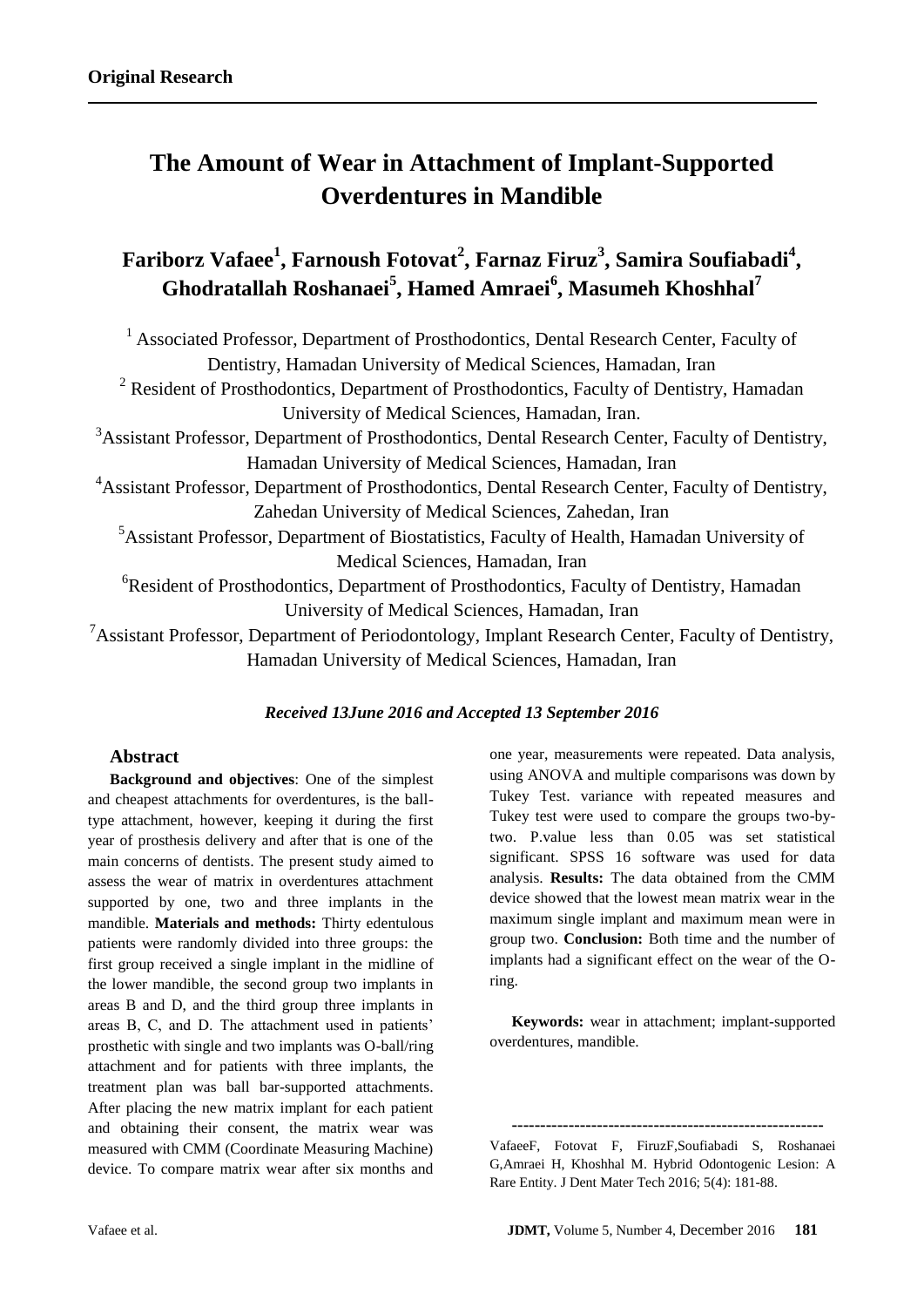# **The Amount of Wear in Attachment of Implant-Supported Overdentures in Mandible**

## **Fariborz Vafaee<sup>1</sup> , Farnoush Fotovat<sup>2</sup> , Farnaz Firuz<sup>3</sup> , Samira Soufiabadi<sup>4</sup> , Ghodratallah Roshanaei<sup>5</sup> , Hamed Amraei<sup>6</sup> , Masumeh Khoshhal<sup>7</sup>**

<sup>1</sup> Associated Professor, Department of Prosthodontics, Dental Research Center, Faculty of Dentistry, Hamadan University of Medical Sciences, Hamadan, Iran <sup>2</sup> Resident of Prosthodontics, Department of Prosthodontics, Faculty of Dentistry, Hamadan University of Medical Sciences, Hamadan, Iran. <sup>3</sup>Assistant Professor, Department of Prosthodontics, Dental Research Center, Faculty of Dentistry, Hamadan University of Medical Sciences, Hamadan, Iran <sup>4</sup>Assistant Professor, Department of Prosthodontics, Dental Research Center, Faculty of Dentistry, Zahedan University of Medical Sciences, Zahedan, Iran <sup>5</sup>Assistant Professor, Department of Biostatistics, Faculty of Health, Hamadan University of Medical Sciences, Hamadan, Iran <sup>6</sup>Resident of Prosthodontics, Department of Prosthodontics, Faculty of Dentistry, Hamadan University of Medical Sciences, Hamadan, Iran <sup>7</sup>Assistant Professor, Department of Periodontology, Implant Research Center, Faculty of Dentistry, Hamadan University of Medical Sciences, Hamadan, Iran

## *Received 13June 2016 and Accepted 13 September 2016*

#### **Abstract**

**Background and objectives**: One of the simplest and cheapest attachments for overdentures, is the balltype attachment, however, keeping it during the first year of prosthesis delivery and after that is one of the main concerns of dentists. The present study aimed to assess the wear of matrix in overdentures attachment supported by one, two and three implants in the mandible. **Materials and methods:** Thirty edentulous patients were randomly divided into three groups: the first group received a single implant in the midline of the lower mandible, the second group two implants in areas B and D, and the third group three implants in areas B, C, and D. The attachment used in patients' prosthetic with single and two implants was O-ball/ring attachment and for patients with three implants, the treatment plan was ball bar-supported attachments. After placing the new matrix implant for each patient and obtaining their consent, the matrix wear was measured with CMM (Coordinate Measuring Machine) device. To compare matrix wear after six months and

one year, measurements were repeated. Data analysis, using ANOVA and multiple comparisons was down by Tukey Test. variance with repeated measures and Tukey test were used to compare the groups two-bytwo. P.value less than 0.05 was set statistical significant. SPSS 16 software was used for data analysis. **Results:** The data obtained from the CMM device showed that the lowest mean matrix wear in the maximum single implant and maximum mean were in group two. **Conclusion:** Both time and the number of implants had a significant effect on the wear of the Oring.

**Keywords:** wear in attachment; implant-supported overdentures, mandible.

VafaeeF, Fotovat F, FiruzF,Soufiabadi S, Roshanaei G,Amraei H, Khoshhal M. Hybrid Odontogenic Lesion: A Rare Entity. J Dent Mater Tech 2016; 5(4): 181-88.

**-------------------------------------------------------**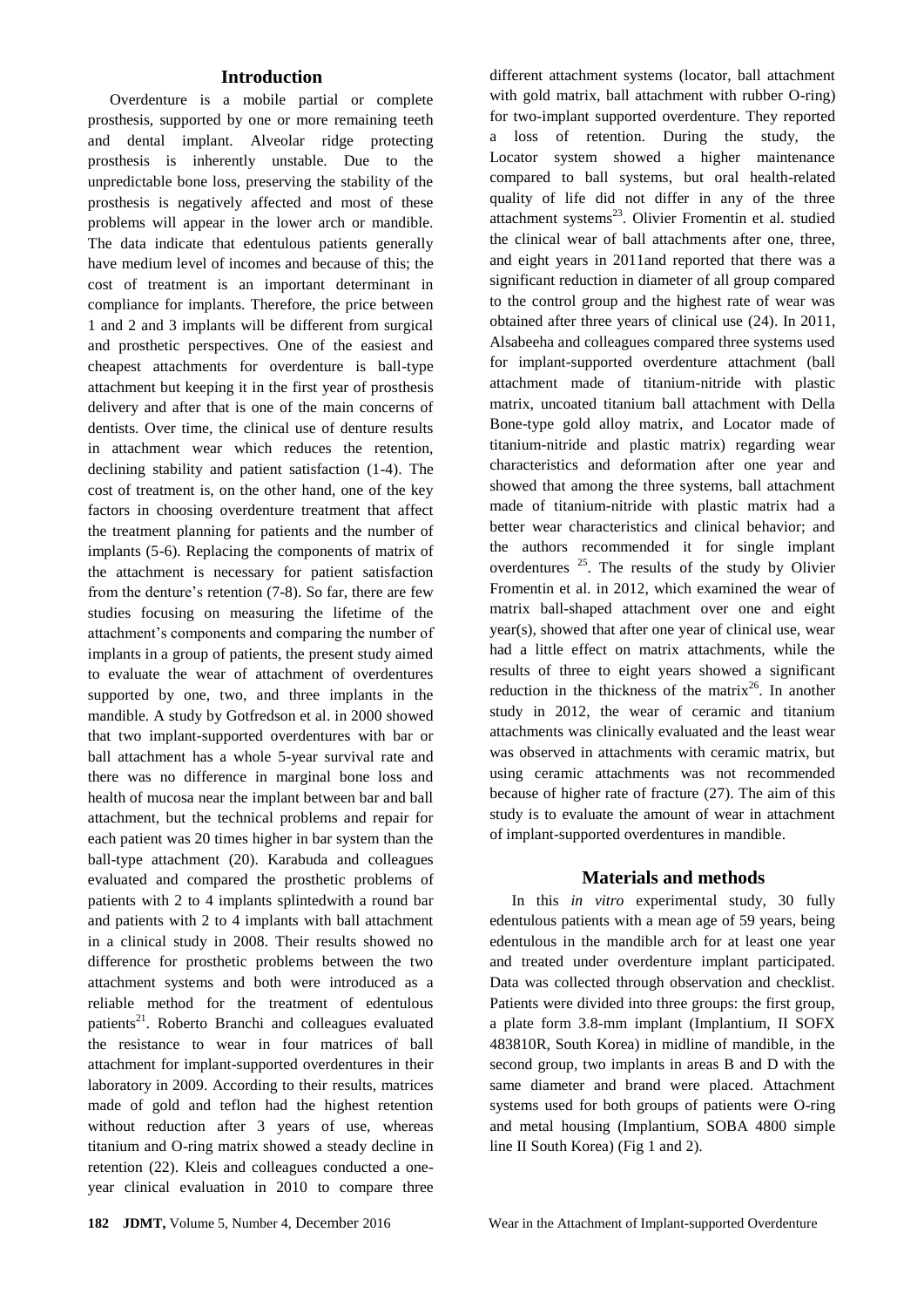#### **Introduction**

Overdenture is a mobile partial or complete prosthesis, supported by one or more remaining teeth and dental implant. Alveolar ridge protecting prosthesis is inherently unstable. Due to the unpredictable bone loss, preserving the stability of the prosthesis is negatively affected and most of these problems will appear in the lower arch or mandible. The data indicate that edentulous patients generally have medium level of incomes and because of this; the cost of treatment is an important determinant in compliance for implants. Therefore, the price between 1 and 2 and 3 implants will be different from surgical and prosthetic perspectives. One of the easiest and cheapest attachments for overdenture is ball-type attachment but keeping it in the first year of prosthesis delivery and after that is one of the main concerns of dentists. Over time, the clinical use of denture results in attachment wear which reduces the retention, declining stability and patient satisfaction (1-4). The cost of treatment is, on the other hand, one of the key factors in choosing overdenture treatment that affect the treatment planning for patients and the number of implants (5-6). Replacing the components of matrix of the attachment is necessary for patient satisfaction from the denture's retention (7-8). So far, there are few studies focusing on measuring the lifetime of the attachment's components and comparing the number of implants in a group of patients, the present study aimed to evaluate the wear of attachment of overdentures supported by one, two, and three implants in the mandible. A study by Gotfredson et al. in 2000 showed that two implant-supported overdentures with bar or ball attachment has a whole 5-year survival rate and there was no difference in marginal bone loss and health of mucosa near the implant between bar and ball attachment, but the technical problems and repair for each patient was 20 times higher in bar system than the ball-type attachment (20). Karabuda and colleagues evaluated and compared the prosthetic problems of patients with 2 to 4 implants splintedwith a round bar and patients with 2 to 4 implants with ball attachment in a clinical study in 2008. Their results showed no difference for prosthetic problems between the two attachment systems and both were introduced as a reliable method for the treatment of edentulous patients<sup>21</sup>. Roberto Branchi and colleagues evaluated the resistance to wear in four matrices of ball attachment for implant-supported overdentures in their laboratory in 2009. According to their results, matrices made of gold and teflon had the highest retention without reduction after 3 years of use, whereas titanium and O-ring matrix showed a steady decline in retention (22). Kleis and colleagues conducted a oneyear clinical evaluation in 2010 to compare three

different attachment systems (locator, ball attachment with gold matrix, ball attachment with rubber O-ring) for two-implant supported overdenture. They reported a loss of retention. During the study, the Locator system showed a higher maintenance compared to ball systems, but oral health-related quality of life did not differ in any of the three attachment systems<sup>23</sup>. Olivier Fromentin et al. studied the clinical wear of ball attachments after one, three, and eight years in 2011and reported that there was a significant reduction in diameter of all group compared to the control group and the highest rate of wear was obtained after three years of clinical use (24). In 2011, Alsabeeha and colleagues compared three systems used for implant-supported overdenture attachment (ball attachment made of titanium-nitride with plastic matrix, uncoated titanium ball attachment with Della Bone-type gold alloy matrix, and Locator made of titanium-nitride and plastic matrix) regarding wear characteristics and deformation after one year and showed that among the three systems, ball attachment made of titanium-nitride with plastic matrix had a better wear characteristics and clinical behavior; and the authors recommended it for single implant overdentures  $25$ . The results of the study by Olivier Fromentin et al. in 2012, which examined the wear of matrix ball-shaped attachment over one and eight year(s), showed that after one year of clinical use, wear had a little effect on matrix attachments, while the results of three to eight years showed a significant reduction in the thickness of the matrix<sup>26</sup>. In another study in 2012, the wear of ceramic and titanium attachments was clinically evaluated and the least wear was observed in attachments with ceramic matrix, but using ceramic attachments was not recommended because of higher rate of fracture (27). The aim of this study is to evaluate the amount of wear in attachment of implant-supported overdentures in mandible.

#### **Materials and methods**

In this *in vitro* experimental study, 30 fully edentulous patients with a mean age of 59 years, being edentulous in the mandible arch for at least one year and treated under overdenture implant participated. Data was collected through observation and checklist. Patients were divided into three groups: the first group, a plate form 3.8-mm implant (Implantium, II SOFX 483810R, South Korea) in midline of mandible, in the second group, two implants in areas B and D with the same diameter and brand were placed. Attachment systems used for both groups of patients were O-ring and metal housing (Implantium, SOBA 4800 simple line II South Korea) (Fig 1 and 2).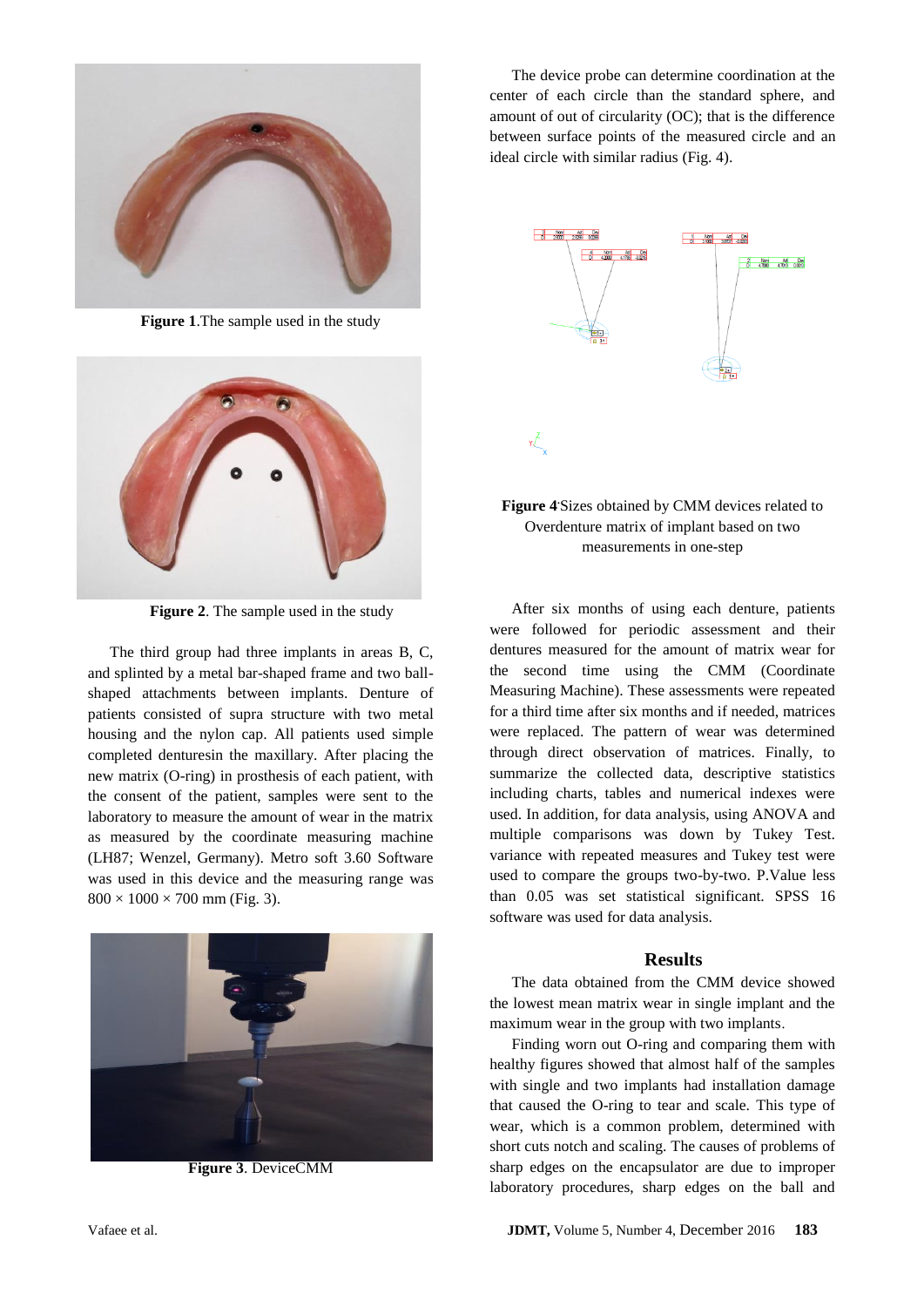

**Figure 1**.The sample used in the study



**Figure 2**. The sample used in the study

The third group had three implants in areas B, C, and splinted by a metal bar-shaped frame and two ballshaped attachments between implants. Denture of patients consisted of supra structure with two metal housing and the nylon cap. All patients used simple completed denturesin the maxillary. After placing the new matrix (O-ring) in prosthesis of each patient, with the consent of the patient, samples were sent to the laboratory to measure the amount of wear in the matrix as measured by the coordinate measuring machine (LH87; Wenzel, Germany). Metro soft 3.60 Software was used in this device and the measuring range was  $800 \times 1000 \times 700$  mm (Fig. 3).



**Figure 3**. DeviceCMM

The device probe can determine coordination at the center of each circle than the standard sphere, and amount of out of circularity (OC); that is the difference between surface points of the measured circle and an ideal circle with similar radius (Fig. 4).



### **Figure 4.** Sizes obtained by CMM devices related to Overdenture matrix of implant based on two measurements in one-step

After six months of using each denture, patients were followed for periodic assessment and their dentures measured for the amount of matrix wear for the second time using the CMM (Coordinate Measuring Machine). These assessments were repeated for a third time after six months and if needed, matrices were replaced. The pattern of wear was determined through direct observation of matrices. Finally, to summarize the collected data, descriptive statistics including charts, tables and numerical indexes were used. In addition, for data analysis, using ANOVA and multiple comparisons was down by Tukey Test. variance with repeated measures and Tukey test were used to compare the groups two-by-two. P.Value less than 0.05 was set statistical significant. SPSS 16 software was used for data analysis.

#### **Results**

The data obtained from the CMM device showed the lowest mean matrix wear in single implant and the maximum wear in the group with two implants.

Finding worn out O-ring and comparing them with healthy figures showed that almost half of the samples with single and two implants had installation damage that caused the O-ring to tear and scale. This type of wear, which is a common problem, determined with short cuts notch and scaling. The causes of problems of sharp edges on the encapsulator are due to improper laboratory procedures, sharp edges on the ball and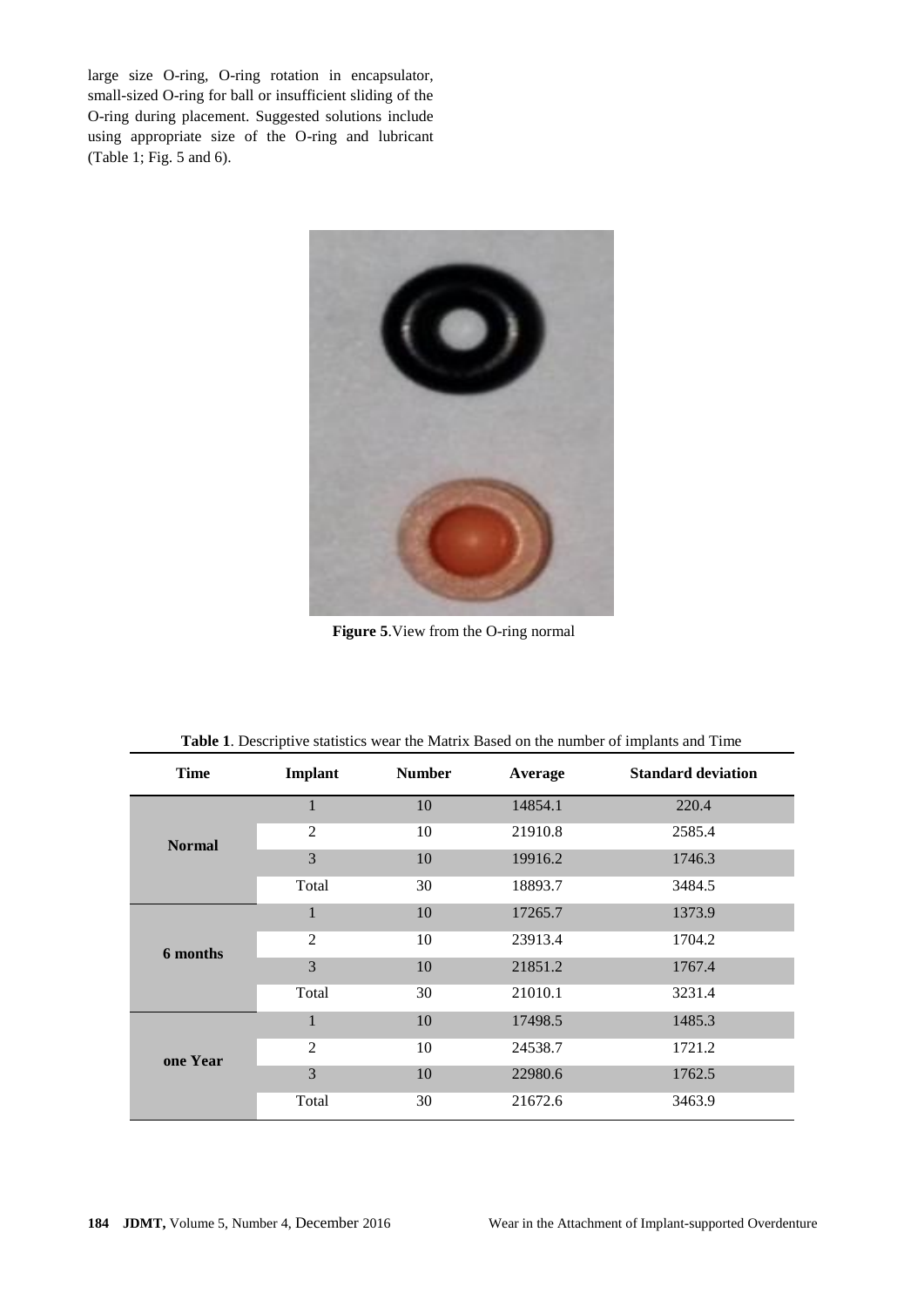large size O-ring, O-ring rotation in encapsulator, small-sized O-ring for ball or insufficient sliding of the O-ring during placement. Suggested solutions include using appropriate size of the O-ring and lubricant (Table 1; Fig. 5 and 6).



 **Figure 5**.View from the O-ring normal

| <b>Time</b>   | Implant        | <b>Number</b> | Average | <b>Standard deviation</b> |
|---------------|----------------|---------------|---------|---------------------------|
| <b>Normal</b> | 1              | 10            | 14854.1 | 220.4                     |
|               | $\overline{2}$ | 10            | 21910.8 | 2585.4                    |
|               | 3              | 10            | 19916.2 | 1746.3                    |
|               | Total          | 30            | 18893.7 | 3484.5                    |
| 6 months      | $\mathbf{1}$   | 10            | 17265.7 | 1373.9                    |
|               | $\overline{2}$ | 10            | 23913.4 | 1704.2                    |
|               | 3              | 10            | 21851.2 | 1767.4                    |
|               | Total          | 30            | 21010.1 | 3231.4                    |
| one Year      | $\mathbf{1}$   | 10            | 17498.5 | 1485.3                    |
|               | $\overline{2}$ | 10            | 24538.7 | 1721.2                    |
|               | 3              | 10            | 22980.6 | 1762.5                    |
|               | Total          | 30            | 21672.6 | 3463.9                    |

**Table 1**. Descriptive statistics wear the Matrix Based on the number of implants and Time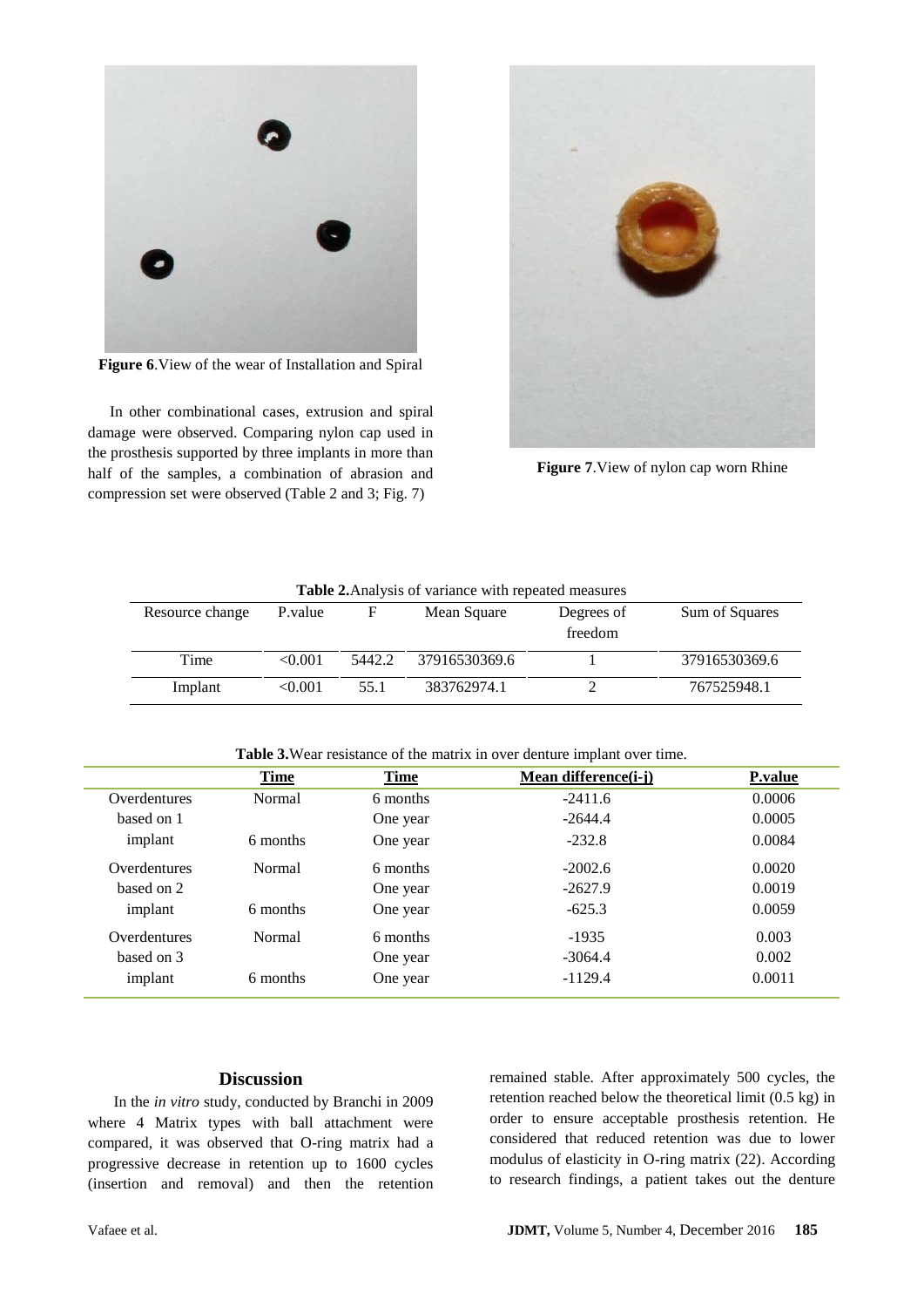

**Figure 6**.View of the wear of Installation and Spiral

In other combinational cases, extrusion and spiral damage were observed. Comparing nylon cap used in the prosthesis supported by three implants in more than half of the samples, a combination of abrasion and compression set were observed (Table 2 and 3; Fig. 7)



**Figure 7**.View of nylon cap worn Rhine

| <b>Table 2.</b> Analysis of variance with repeated measures |         |        |               |                       |                |  |  |  |
|-------------------------------------------------------------|---------|--------|---------------|-----------------------|----------------|--|--|--|
| Resource change                                             | P.value | F      | Mean Square   | Degrees of<br>freedom | Sum of Squares |  |  |  |
| Time                                                        | < 0.001 | 5442.2 | 37916530369.6 |                       | 37916530369.6  |  |  |  |
| Implant                                                     | < 0.001 | 55.1   | 383762974.1   |                       | 767525948.1    |  |  |  |

**Table 2.**Analysis of variance with repeated measures

**Table 3.**Wear resistance of the matrix in over denture implant over time.

|              | <b>Time</b> | <b>Time</b> | Mean difference( <i>i</i> - <i>j</i> ) | <b>P</b> .value |
|--------------|-------------|-------------|----------------------------------------|-----------------|
| Overdentures | Normal      | 6 months    | $-2411.6$                              | 0.0006          |
| based on 1   |             | One year    | $-2644.4$                              | 0.0005          |
| implant      | 6 months    | One year    | $-232.8$                               | 0.0084          |
| Overdentures | Normal      | 6 months    | $-2002.6$                              | 0.0020          |
| based on 2   |             | One year    | $-2627.9$                              | 0.0019          |
| implant      | 6 months    | One year    | $-625.3$                               | 0.0059          |
| Overdentures | Normal      | 6 months    | $-1935$                                | 0.003           |
| based on 3   |             | One year    | $-3064.4$                              | 0.002           |
| implant      | 6 months    | One year    | $-1129.4$                              | 0.0011          |

#### **Discussion**

In the *in vitro* study, conducted by Branchi in 2009 where 4 Matrix types with ball attachment were compared, it was observed that O-ring matrix had a progressive decrease in retention up to 1600 cycles (insertion and removal) and then the retention remained stable. After approximately 500 cycles, the retention reached below the theoretical limit (0.5 kg) in order to ensure acceptable prosthesis retention. He considered that reduced retention was due to lower modulus of elasticity in O-ring matrix (22). According to research findings, a patient takes out the denture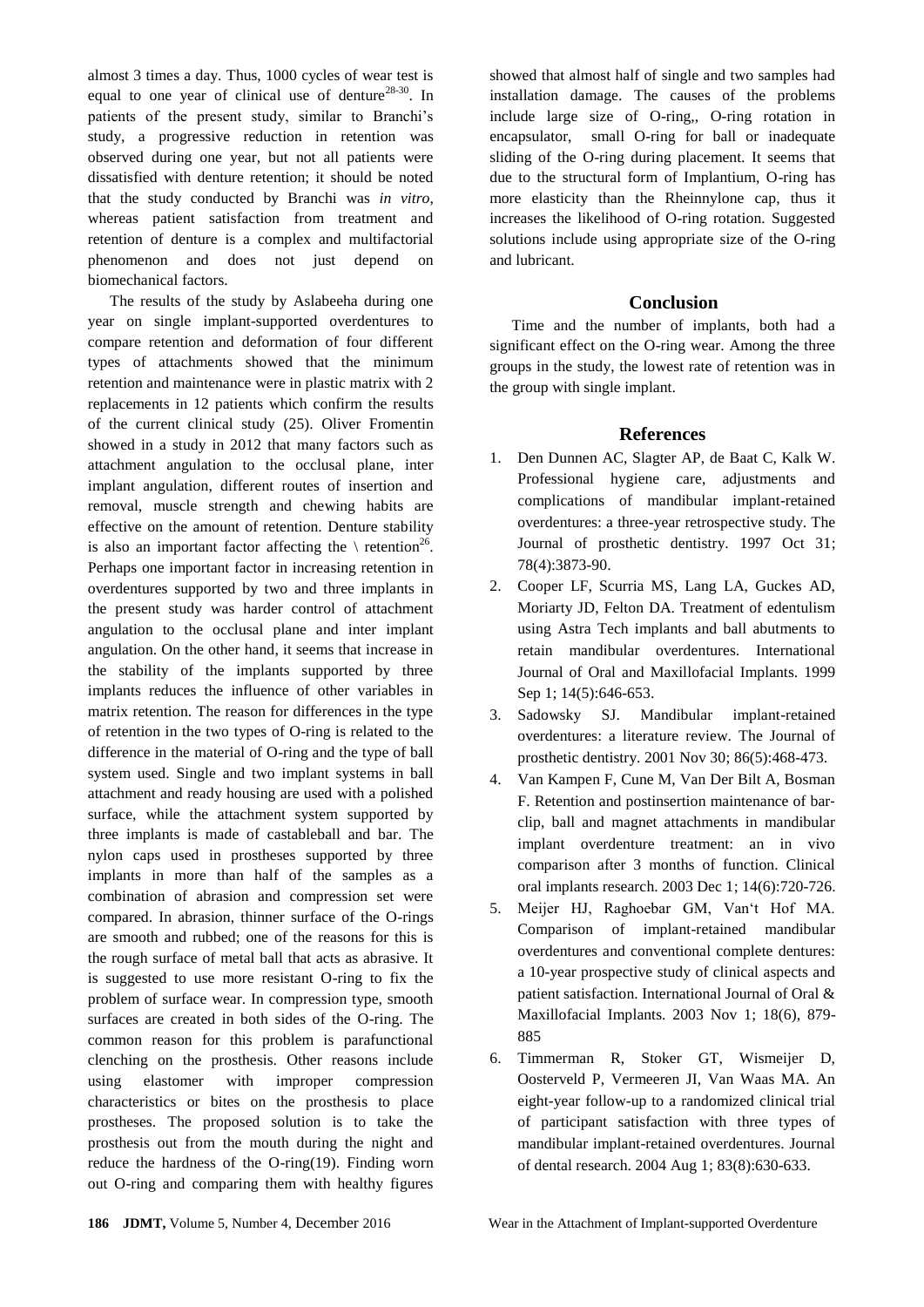almost 3 times a day. Thus, 1000 cycles of wear test is equal to one year of clinical use of denture<sup>28-30</sup>. In patients of the present study, similar to Branchi's study, a progressive reduction in retention was observed during one year, but not all patients were dissatisfied with denture retention; it should be noted that the study conducted by Branchi was *in vitro*, whereas patient satisfaction from treatment and retention of denture is a complex and multifactorial phenomenon and does not just depend on biomechanical factors.

The results of the study by Aslabeeha during one year on single implant-supported overdentures to compare retention and deformation of four different types of attachments showed that the minimum retention and maintenance were in plastic matrix with 2 replacements in 12 patients which confirm the results of the current clinical study (25). Oliver Fromentin showed in a study in 2012 that many factors such as attachment angulation to the occlusal plane, inter implant angulation, different routes of insertion and removal, muscle strength and chewing habits are effective on the amount of retention. Denture stability is also an important factor affecting the  $\setminus$  retention<sup>26</sup>. Perhaps one important factor in increasing retention in overdentures supported by two and three implants in the present study was harder control of attachment angulation to the occlusal plane and inter implant angulation. On the other hand, it seems that increase in the stability of the implants supported by three implants reduces the influence of other variables in matrix retention. The reason for differences in the type of retention in the two types of O-ring is related to the difference in the material of O-ring and the type of ball system used. Single and two implant systems in ball attachment and ready housing are used with a polished surface, while the attachment system supported by three implants is made of castableball and bar. The nylon caps used in prostheses supported by three implants in more than half of the samples as a combination of abrasion and compression set were compared. In abrasion, thinner surface of the O-rings are smooth and rubbed; one of the reasons for this is the rough surface of metal ball that acts as abrasive. It is suggested to use more resistant O-ring to fix the problem of surface wear. In compression type, smooth surfaces are created in both sides of the O-ring. The common reason for this problem is parafunctional clenching on the prosthesis. Other reasons include using elastomer with improper compression characteristics or bites on the prosthesis to place prostheses. The proposed solution is to take the prosthesis out from the mouth during the night and reduce the hardness of the O-ring(19). Finding worn out O-ring and comparing them with healthy figures

showed that almost half of single and two samples had installation damage. The causes of the problems include large size of O-ring,, O-ring rotation in encapsulator, small O-ring for ball or inadequate sliding of the O-ring during placement. It seems that due to the structural form of Implantium, O-ring has more elasticity than the Rheinnylone cap, thus it increases the likelihood of O-ring rotation. Suggested solutions include using appropriate size of the O-ring and lubricant.

#### **Conclusion**

Time and the number of implants, both had a significant effect on the O-ring wear. Among the three groups in the study, the lowest rate of retention was in the group with single implant.

#### **References**

- 1. Den Dunnen AC, Slagter AP, de Baat C, Kalk W. Professional hygiene care, adjustments and complications of mandibular implant-retained overdentures: a three-year retrospective study. The Journal of prosthetic dentistry. 1997 Oct 31; 78(4):3873-90.
- 2. Cooper LF, Scurria MS, Lang LA, Guckes AD, Moriarty JD, Felton DA. Treatment of edentulism using Astra Tech implants and ball abutments to retain mandibular overdentures. International Journal of Oral and Maxillofacial Implants. 1999 Sep 1; 14(5):646-653.
- 3. Sadowsky SJ. Mandibular implant-retained overdentures: a literature review. The Journal of prosthetic dentistry. 2001 Nov 30; 86(5):468-473.
- 4. Van Kampen F, Cune M, Van Der Bilt A, Bosman F. Retention and postinsertion maintenance of bar‐ clip, ball and magnet attachments in mandibular implant overdenture treatment: an in vivo comparison after 3 months of function. Clinical oral implants research. 2003 Dec 1; 14(6):720-726.
- 5. Meijer HJ, Raghoebar GM, Van't Hof MA. Comparison of implant-retained mandibular overdentures and conventional complete dentures: a 10-year prospective study of clinical aspects and patient satisfaction. International Journal of Oral & Maxillofacial Implants. 2003 Nov 1; 18(6), 879- 885
- 6. Timmerman R, Stoker GT, Wismeijer D, Oosterveld P, Vermeeren JI, Van Waas MA. An eight-year follow-up to a randomized clinical trial of participant satisfaction with three types of mandibular implant-retained overdentures. Journal of dental research. 2004 Aug 1; 83(8):630-633.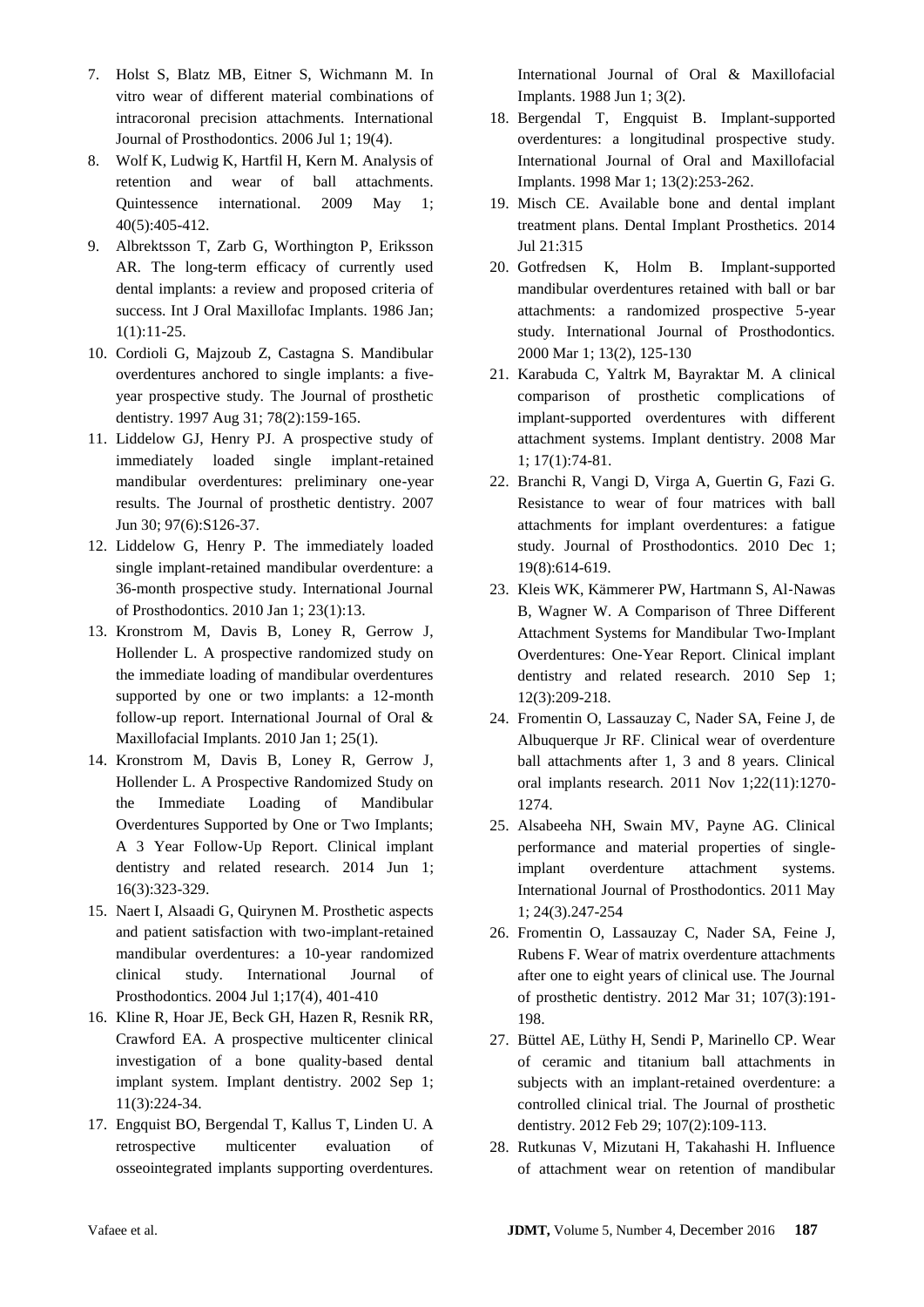- 7. Holst S, Blatz MB, Eitner S, Wichmann M. In vitro wear of different material combinations of intracoronal precision attachments. International Journal of Prosthodontics. 2006 Jul 1; 19(4).
- 8. Wolf K, Ludwig K, Hartfil H, Kern M. Analysis of retention and wear of ball attachments. Quintessence international. 2009 May 1; 40(5):405-412.
- 9. Albrektsson T, Zarb G, Worthington P, Eriksson AR. The long-term efficacy of currently used dental implants: a review and proposed criteria of success. Int J Oral Maxillofac Implants. 1986 Jan; 1(1):11-25.
- 10. Cordioli G, Majzoub Z, Castagna S. Mandibular overdentures anchored to single implants: a fiveyear prospective study. The Journal of prosthetic dentistry. 1997 Aug 31; 78(2):159-165.
- 11. Liddelow GJ, Henry PJ. A prospective study of immediately loaded single implant-retained mandibular overdentures: preliminary one-year results. The Journal of prosthetic dentistry. 2007 Jun 30; 97(6):S126-37.
- 12. Liddelow G, Henry P. The immediately loaded single implant-retained mandibular overdenture: a 36-month prospective study. International Journal of Prosthodontics. 2010 Jan 1; 23(1):13.
- 13. Kronstrom M, Davis B, Loney R, Gerrow J, Hollender L. A prospective randomized study on the immediate loading of mandibular overdentures supported by one or two implants: a 12-month follow-up report. International Journal of Oral & Maxillofacial Implants. 2010 Jan 1; 25(1).
- 14. Kronstrom M, Davis B, Loney R, Gerrow J, Hollender L. A Prospective Randomized Study on the Immediate Loading of Mandibular Overdentures Supported by One or Two Implants; A 3 Year Follow‐Up Report. Clinical implant dentistry and related research. 2014 Jun 1; 16(3):323-329.
- 15. Naert I, Alsaadi G, Quirynen M. Prosthetic aspects and patient satisfaction with two-implant-retained mandibular overdentures: a 10-year randomized clinical study. International Journal of Prosthodontics. 2004 Jul 1;17(4), 401-410
- 16. Kline R, Hoar JE, Beck GH, Hazen R, Resnik RR, Crawford EA. A prospective multicenter clinical investigation of a bone quality-based dental implant system. Implant dentistry. 2002 Sep 1; 11(3):224-34.
- 17. Engquist BO, Bergendal T, Kallus T, Linden U. A retrospective multicenter evaluation osseointegrated implants supporting overdentures.

International Journal of Oral & Maxillofacial Implants. 1988 Jun 1; 3(2).

- 18. Bergendal T, Engquist B. Implant-supported overdentures: a longitudinal prospective study. International Journal of Oral and Maxillofacial Implants. 1998 Mar 1; 13(2):253-262.
- 19. Misch CE. Available bone and dental implant treatment plans. Dental Implant Prosthetics. 2014 Jul 21:315
- 20. Gotfredsen K, Holm B. Implant-supported mandibular overdentures retained with ball or bar attachments: a randomized prospective 5-year study. International Journal of Prosthodontics. 2000 Mar 1; 13(2), 125-130
- 21. Karabuda C, Yaltrk M, Bayraktar M. A clinical comparison of prosthetic complications of implant-supported overdentures with different attachment systems. Implant dentistry. 2008 Mar 1; 17(1):74-81.
- 22. Branchi R, Vangi D, Virga A, Guertin G, Fazi G. Resistance to wear of four matrices with ball attachments for implant overdentures: a fatigue study. Journal of Prosthodontics. 2010 Dec 1; 19(8):614-619.
- 23. Kleis WK, Kämmerer PW, Hartmann S, Al‐Nawas B, Wagner W. A Comparison of Three Different Attachment Systems for Mandibular Two‐Implant Overdentures: One‐Year Report. Clinical implant dentistry and related research. 2010 Sep 1; 12(3):209-218.
- 24. Fromentin O, Lassauzay C, Nader SA, Feine J, de Albuquerque Jr RF. Clinical wear of overdenture ball attachments after 1, 3 and 8 years. Clinical oral implants research. 2011 Nov 1;22(11):1270- 1274.
- 25. Alsabeeha NH, Swain MV, Payne AG. Clinical performance and material properties of singleimplant overdenture attachment systems. International Journal of Prosthodontics. 2011 May 1; 24(3).247-254
- 26. Fromentin O, Lassauzay C, Nader SA, Feine J, Rubens F. Wear of matrix overdenture attachments after one to eight years of clinical use. The Journal of prosthetic dentistry. 2012 Mar 31; 107(3):191- 198.
- 27. Büttel AE, Lüthy H, Sendi P, Marinello CP. Wear of ceramic and titanium ball attachments in subjects with an implant-retained overdenture: a controlled clinical trial. The Journal of prosthetic dentistry. 2012 Feb 29; 107(2):109-113.
- 28. Rutkunas V, Mizutani H, Takahashi H. Influence of attachment wear on retention of mandibular